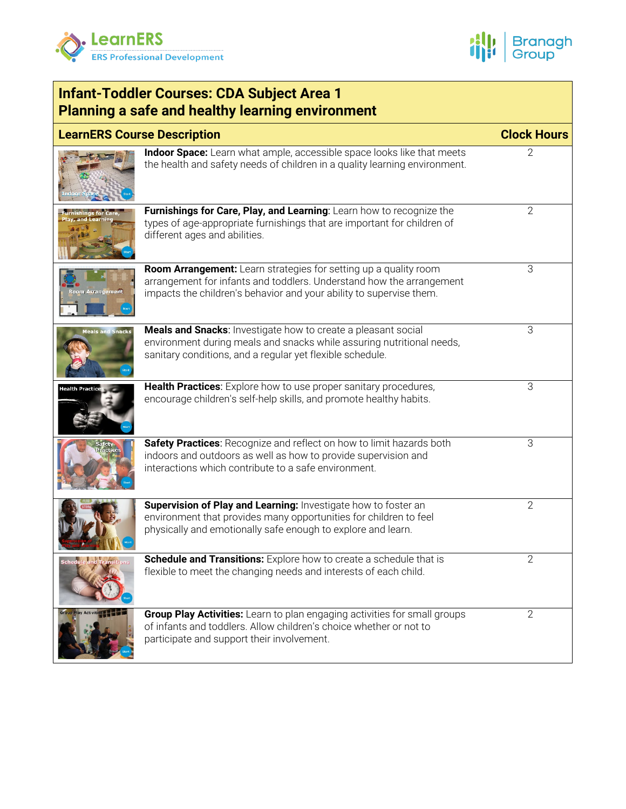



| <b>Infant-Toddler Courses: CDA Subject Area 1</b><br><b>Planning a safe and healthy learning environment</b> |                                                                                                                                                                                                                 |                |  |  |
|--------------------------------------------------------------------------------------------------------------|-----------------------------------------------------------------------------------------------------------------------------------------------------------------------------------------------------------------|----------------|--|--|
| <b>LearnERS Course Description</b>                                                                           | <b>Clock Hours</b>                                                                                                                                                                                              |                |  |  |
|                                                                                                              | Indoor Space: Learn what ample, accessible space looks like that meets<br>the health and safety needs of children in a quality learning environment.                                                            | 2              |  |  |
| <b>ishings for Car</b><br>, and Learnin                                                                      | Furnishings for Care, Play, and Learning: Learn how to recognize the<br>types of age-appropriate furnishings that are important for children of<br>different ages and abilities.                                | $\mathbf{2}$   |  |  |
| <b>Arrangement</b>                                                                                           | Room Arrangement: Learn strategies for setting up a quality room<br>arrangement for infants and toddlers. Understand how the arrangement<br>impacts the children's behavior and your ability to supervise them. | 3              |  |  |
| <b>Meals and Snacks</b>                                                                                      | Meals and Snacks: Investigate how to create a pleasant social<br>environment during meals and snacks while assuring nutritional needs,<br>sanitary conditions, and a regular yet flexible schedule.             | 3              |  |  |
| <b>Health Practice</b>                                                                                       | Health Practices: Explore how to use proper sanitary procedures,<br>encourage children's self-help skills, and promote healthy habits.                                                                          | 3              |  |  |
|                                                                                                              | Safety Practices: Recognize and reflect on how to limit hazards both<br>indoors and outdoors as well as how to provide supervision and<br>interactions which contribute to a safe environment.                  | 3              |  |  |
|                                                                                                              | Supervision of Play and Learning: Investigate how to foster an<br>environment that provides many opportunities for children to feel<br>physically and emotionally safe enough to explore and learn.             | $\overline{2}$ |  |  |
|                                                                                                              | Schedule and Transitions: Explore how to create a schedule that is<br>flexible to meet the changing needs and interests of each child.                                                                          | $\overline{2}$ |  |  |
|                                                                                                              | Group Play Activities: Learn to plan engaging activities for small groups<br>of infants and toddlers. Allow children's choice whether or not to<br>participate and support their involvement.                   | $\overline{2}$ |  |  |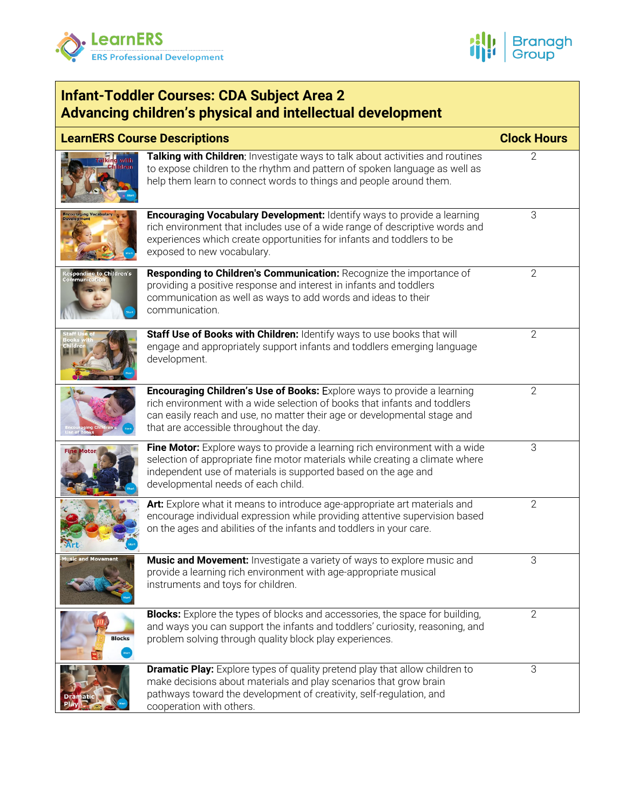



| <b>Infant-Toddler Courses: CDA Subject Area 2</b><br>Advancing children's physical and intellectual development |                                                                                                                                                                                                                                                                                    |                    |  |  |
|-----------------------------------------------------------------------------------------------------------------|------------------------------------------------------------------------------------------------------------------------------------------------------------------------------------------------------------------------------------------------------------------------------------|--------------------|--|--|
|                                                                                                                 | <b>LearnERS Course Descriptions</b>                                                                                                                                                                                                                                                | <b>Clock Hours</b> |  |  |
|                                                                                                                 | Talking with Children: Investigate ways to talk about activities and routines<br>to expose children to the rhythm and pattern of spoken language as well as<br>help them learn to connect words to things and people around them.                                                  | 2                  |  |  |
|                                                                                                                 | <b>Encouraging Vocabulary Development:</b> Identify ways to provide a learning<br>rich environment that includes use of a wide range of descriptive words and<br>experiences which create opportunities for infants and toddlers to be<br>exposed to new vocabulary.               | 3                  |  |  |
| <b>Responding to Children's</b><br>Communicati                                                                  | Responding to Children's Communication: Recognize the importance of<br>providing a positive response and interest in infants and toddlers<br>communication as well as ways to add words and ideas to their<br>communication.                                                       | $\mathbf{2}$       |  |  |
|                                                                                                                 | Staff Use of Books with Children: Identify ways to use books that will<br>engage and appropriately support infants and toddlers emerging language<br>development.                                                                                                                  | $\overline{2}$     |  |  |
| ging Cl                                                                                                         | <b>Encouraging Children's Use of Books:</b> Explore ways to provide a learning<br>rich environment with a wide selection of books that infants and toddlers<br>can easily reach and use, no matter their age or developmental stage and<br>that are accessible throughout the day. | $\mathbf{2}$       |  |  |
| <b>Fine Motor</b>                                                                                               | Fine Motor: Explore ways to provide a learning rich environment with a wide<br>selection of appropriate fine motor materials while creating a climate where<br>independent use of materials is supported based on the age and<br>developmental needs of each child.                | 3                  |  |  |
| Art                                                                                                             | Art: Explore what it means to introduce age-appropriate art materials and<br>encourage individual expression while providing attentive supervision based<br>on the ages and abilities of the infants and toddlers in your care.                                                    | $\mathbf{2}$       |  |  |
| <b>Music and Movement</b>                                                                                       | Music and Movement: Investigate a variety of ways to explore music and<br>provide a learning rich environment with age-appropriate musical<br>instruments and toys for children.                                                                                                   | 3                  |  |  |
| <b>Blocks</b>                                                                                                   | <b>Blocks:</b> Explore the types of blocks and accessories, the space for building,<br>and ways you can support the infants and toddlers' curiosity, reasoning, and<br>problem solving through quality block play experiences.                                                     | $\mathbf{2}$       |  |  |
|                                                                                                                 | <b>Dramatic Play:</b> Explore types of quality pretend play that allow children to<br>make decisions about materials and play scenarios that grow brain<br>pathways toward the development of creativity, self-regulation, and<br>cooperation with others.                         | 3                  |  |  |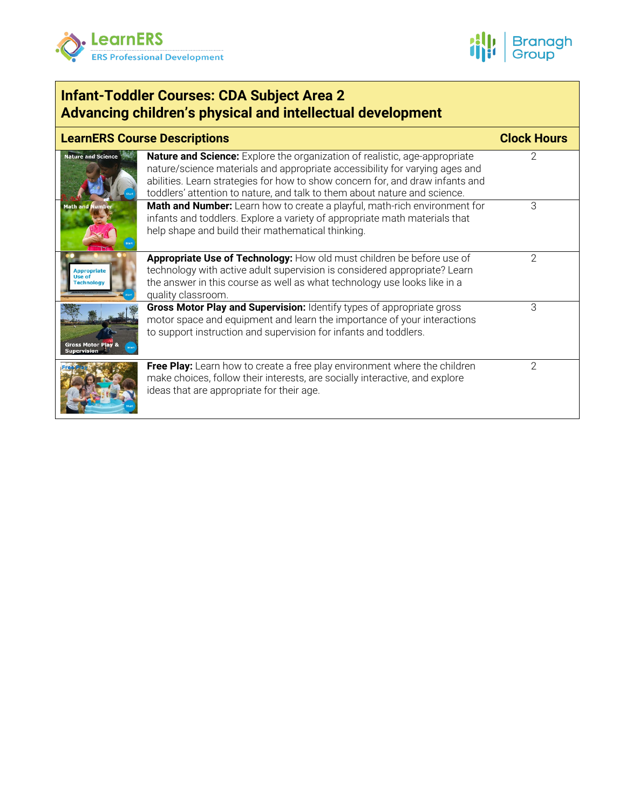



| <b>Infant-Toddler Courses: CDA Subject Area 2</b><br>Advancing children's physical and intellectual development |                                                                                                                                                                                                                                                                                                                                |                    |  |  |
|-----------------------------------------------------------------------------------------------------------------|--------------------------------------------------------------------------------------------------------------------------------------------------------------------------------------------------------------------------------------------------------------------------------------------------------------------------------|--------------------|--|--|
| <b>LearnERS Course Descriptions</b>                                                                             |                                                                                                                                                                                                                                                                                                                                | <b>Clock Hours</b> |  |  |
| <b>Nature and Science</b>                                                                                       | <b>Nature and Science:</b> Explore the organization of realistic, age-appropriate<br>nature/science materials and appropriate accessibility for varying ages and<br>abilities. Learn strategies for how to show concern for, and draw infants and<br>toddlers' attention to nature, and talk to them about nature and science. | 2                  |  |  |
| <b>Math and Number</b>                                                                                          | Math and Number: Learn how to create a playful, math-rich environment for<br>infants and toddlers. Explore a variety of appropriate math materials that<br>help shape and build their mathematical thinking.                                                                                                                   | 3                  |  |  |
| <b>Appropriate</b><br><b>Use of</b><br><b>Technology</b>                                                        | Appropriate Use of Technology: How old must children be before use of<br>technology with active adult supervision is considered appropriate? Learn<br>the answer in this course as well as what technology use looks like in a<br>quality classroom.                                                                           | 2                  |  |  |
| <b>Gross Motor Play &amp;</b><br>Supervision                                                                    | Gross Motor Play and Supervision: Identify types of appropriate gross<br>motor space and equipment and learn the importance of your interactions<br>to support instruction and supervision for infants and toddlers.                                                                                                           | 3                  |  |  |
|                                                                                                                 | Free Play: Learn how to create a free play environment where the children<br>make choices, follow their interests, are socially interactive, and explore<br>ideas that are appropriate for their age.                                                                                                                          | 2                  |  |  |